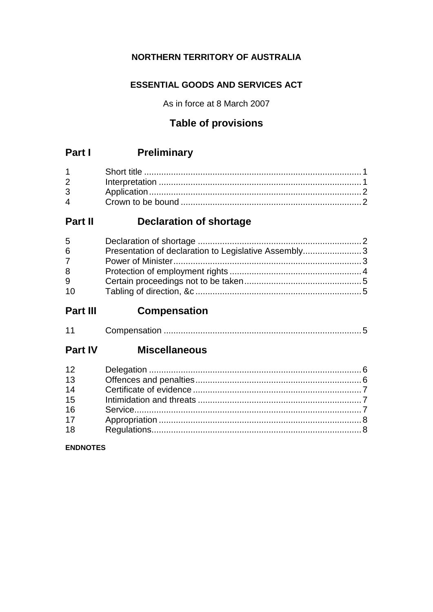## NORTHERN TERRITORY OF AUSTRALIA

## **ESSENTIAL GOODS AND SERVICES ACT**

As in force at 8 March 2007

## **Table of provisions**

#### **Preliminary** Part I

| $2 \left( \frac{1}{2} \right)$ |  |
|--------------------------------|--|
| $3^{\circ}$                    |  |
| $\mathbf 4$                    |  |

#### **Declaration of shortage** Part II

| 5           |                                                      |  |
|-------------|------------------------------------------------------|--|
| 6           | Presentation of declaration to Legislative Assembly3 |  |
| $7^{\circ}$ |                                                      |  |
| 8           |                                                      |  |
| 9           |                                                      |  |
| 10          |                                                      |  |

#### Part III **Compensation**

| $\overline{A}$ |  |  |
|----------------|--|--|
|----------------|--|--|

#### **Miscellaneous Part IV**

| 12 |  |
|----|--|
| 13 |  |
| 14 |  |
| 15 |  |
| 16 |  |
| 17 |  |
| 18 |  |

### **ENDNOTES**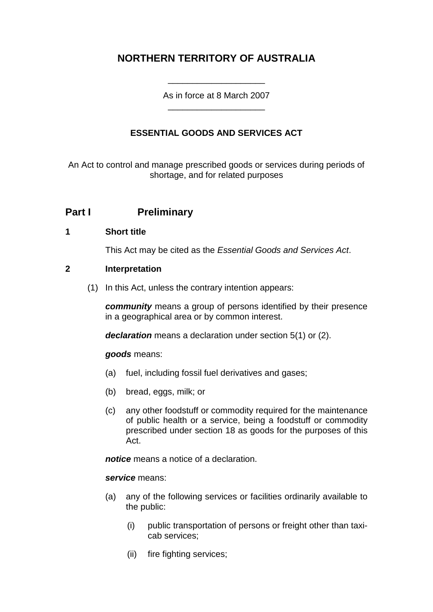## **NORTHERN TERRITORY OF AUSTRALIA**

As in force at 8 March 2007 \_\_\_\_\_\_\_\_\_\_\_\_\_\_\_\_\_\_\_\_

\_\_\_\_\_\_\_\_\_\_\_\_\_\_\_\_\_\_\_\_

### **ESSENTIAL GOODS AND SERVICES ACT**

An Act to control and manage prescribed goods or services during periods of shortage, and for related purposes

## **Part I Preliminary**

### **1 Short title**

This Act may be cited as the *Essential Goods and Services Act*.

### **2 Interpretation**

(1) In this Act, unless the contrary intention appears:

*community* means a group of persons identified by their presence in a geographical area or by common interest.

*declaration* means a declaration under section 5(1) or (2).

#### *goods* means:

- (a) fuel, including fossil fuel derivatives and gases;
- (b) bread, eggs, milk; or
- (c) any other foodstuff or commodity required for the maintenance of public health or a service, being a foodstuff or commodity prescribed under section 18 as goods for the purposes of this Act.

*notice* means a notice of a declaration.

#### *service* means:

- (a) any of the following services or facilities ordinarily available to the public:
	- (i) public transportation of persons or freight other than taxicab services;
	- (ii) fire fighting services;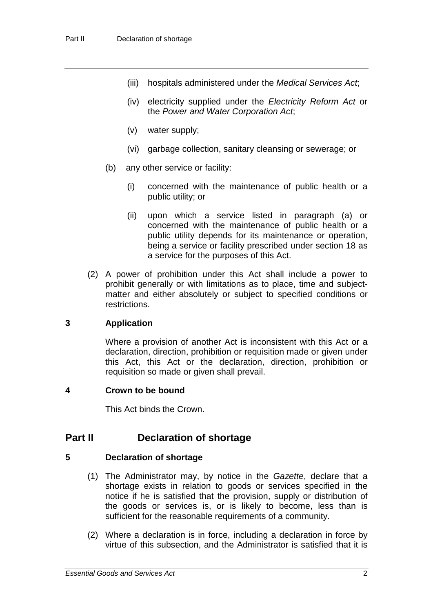- (iii) hospitals administered under the *Medical Services Act*;
- (iv) electricity supplied under the *Electricity Reform Act* or the *Power and Water Corporation Act*;
- (v) water supply;
- (vi) garbage collection, sanitary cleansing or sewerage; or
- (b) any other service or facility:
	- (i) concerned with the maintenance of public health or a public utility; or
	- (ii) upon which a service listed in paragraph (a) or concerned with the maintenance of public health or a public utility depends for its maintenance or operation, being a service or facility prescribed under section 18 as a service for the purposes of this Act.
- (2) A power of prohibition under this Act shall include a power to prohibit generally or with limitations as to place, time and subjectmatter and either absolutely or subject to specified conditions or restrictions.

### **3 Application**

Where a provision of another Act is inconsistent with this Act or a declaration, direction, prohibition or requisition made or given under this Act, this Act or the declaration, direction, prohibition or requisition so made or given shall prevail.

#### **4 Crown to be bound**

This Act binds the Crown.

### **Part II Declaration of shortage**

### **5 Declaration of shortage**

- (1) The Administrator may, by notice in the *Gazette*, declare that a shortage exists in relation to goods or services specified in the notice if he is satisfied that the provision, supply or distribution of the goods or services is, or is likely to become, less than is sufficient for the reasonable requirements of a community.
- (2) Where a declaration is in force, including a declaration in force by virtue of this subsection, and the Administrator is satisfied that it is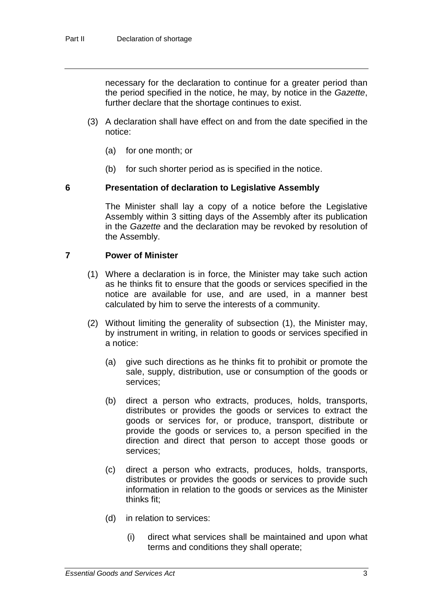necessary for the declaration to continue for a greater period than the period specified in the notice, he may, by notice in the *Gazette*, further declare that the shortage continues to exist.

- (3) A declaration shall have effect on and from the date specified in the notice:
	- (a) for one month; or
	- (b) for such shorter period as is specified in the notice.

#### **6 Presentation of declaration to Legislative Assembly**

The Minister shall lay a copy of a notice before the Legislative Assembly within 3 sitting days of the Assembly after its publication in the *Gazette* and the declaration may be revoked by resolution of the Assembly.

#### **7 Power of Minister**

- (1) Where a declaration is in force, the Minister may take such action as he thinks fit to ensure that the goods or services specified in the notice are available for use, and are used, in a manner best calculated by him to serve the interests of a community.
- (2) Without limiting the generality of subsection (1), the Minister may, by instrument in writing, in relation to goods or services specified in a notice:
	- (a) give such directions as he thinks fit to prohibit or promote the sale, supply, distribution, use or consumption of the goods or services;
	- (b) direct a person who extracts, produces, holds, transports, distributes or provides the goods or services to extract the goods or services for, or produce, transport, distribute or provide the goods or services to, a person specified in the direction and direct that person to accept those goods or services;
	- (c) direct a person who extracts, produces, holds, transports, distributes or provides the goods or services to provide such information in relation to the goods or services as the Minister thinks fit;
	- (d) in relation to services:
		- (i) direct what services shall be maintained and upon what terms and conditions they shall operate;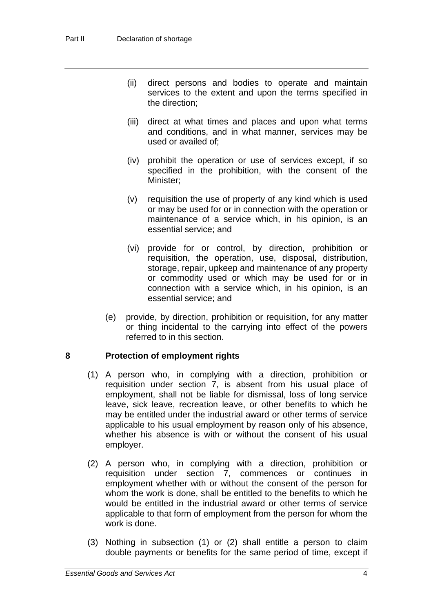- (ii) direct persons and bodies to operate and maintain services to the extent and upon the terms specified in the direction;
- (iii) direct at what times and places and upon what terms and conditions, and in what manner, services may be used or availed of;
- (iv) prohibit the operation or use of services except, if so specified in the prohibition, with the consent of the Minister;
- (v) requisition the use of property of any kind which is used or may be used for or in connection with the operation or maintenance of a service which, in his opinion, is an essential service; and
- (vi) provide for or control, by direction, prohibition or requisition, the operation, use, disposal, distribution, storage, repair, upkeep and maintenance of any property or commodity used or which may be used for or in connection with a service which, in his opinion, is an essential service; and
- (e) provide, by direction, prohibition or requisition, for any matter or thing incidental to the carrying into effect of the powers referred to in this section.

### **8 Protection of employment rights**

- (1) A person who, in complying with a direction, prohibition or requisition under section 7, is absent from his usual place of employment, shall not be liable for dismissal, loss of long service leave, sick leave, recreation leave, or other benefits to which he may be entitled under the industrial award or other terms of service applicable to his usual employment by reason only of his absence, whether his absence is with or without the consent of his usual employer.
- (2) A person who, in complying with a direction, prohibition or requisition under section 7, commences or continues in employment whether with or without the consent of the person for whom the work is done, shall be entitled to the benefits to which he would be entitled in the industrial award or other terms of service applicable to that form of employment from the person for whom the work is done.
- (3) Nothing in subsection (1) or (2) shall entitle a person to claim double payments or benefits for the same period of time, except if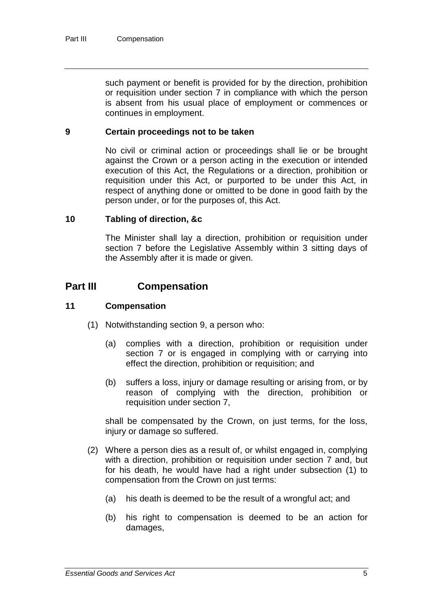such payment or benefit is provided for by the direction, prohibition or requisition under section 7 in compliance with which the person is absent from his usual place of employment or commences or continues in employment.

### **9 Certain proceedings not to be taken**

No civil or criminal action or proceedings shall lie or be brought against the Crown or a person acting in the execution or intended execution of this Act, the Regulations or a direction, prohibition or requisition under this Act, or purported to be under this Act, in respect of anything done or omitted to be done in good faith by the person under, or for the purposes of, this Act.

#### **10 Tabling of direction, &c**

The Minister shall lay a direction, prohibition or requisition under section 7 before the Legislative Assembly within 3 sitting days of the Assembly after it is made or given.

### **Part III Compensation**

### **11 Compensation**

- (1) Notwithstanding section 9, a person who:
	- (a) complies with a direction, prohibition or requisition under section 7 or is engaged in complying with or carrying into effect the direction, prohibition or requisition; and
	- (b) suffers a loss, injury or damage resulting or arising from, or by reason of complying with the direction, prohibition or requisition under section 7,

shall be compensated by the Crown, on just terms, for the loss, injury or damage so suffered.

- (2) Where a person dies as a result of, or whilst engaged in, complying with a direction, prohibition or requisition under section 7 and, but for his death, he would have had a right under subsection (1) to compensation from the Crown on just terms:
	- (a) his death is deemed to be the result of a wrongful act; and
	- (b) his right to compensation is deemed to be an action for damages,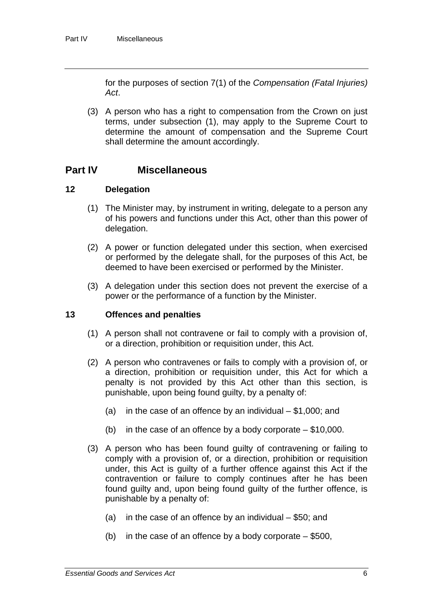for the purposes of section 7(1) of the *Compensation (Fatal Injuries) Act*.

(3) A person who has a right to compensation from the Crown on just terms, under subsection (1), may apply to the Supreme Court to determine the amount of compensation and the Supreme Court shall determine the amount accordingly.

### **Part IV Miscellaneous**

### **12 Delegation**

- (1) The Minister may, by instrument in writing, delegate to a person any of his powers and functions under this Act, other than this power of delegation.
- (2) A power or function delegated under this section, when exercised or performed by the delegate shall, for the purposes of this Act, be deemed to have been exercised or performed by the Minister.
- (3) A delegation under this section does not prevent the exercise of a power or the performance of a function by the Minister.

### **13 Offences and penalties**

- (1) A person shall not contravene or fail to comply with a provision of, or a direction, prohibition or requisition under, this Act.
- (2) A person who contravenes or fails to comply with a provision of, or a direction, prohibition or requisition under, this Act for which a penalty is not provided by this Act other than this section, is punishable, upon being found guilty, by a penalty of:
	- (a) in the case of an offence by an individual  $-$  \$1,000; and
	- (b) in the case of an offence by a body corporate  $-$  \$10,000.
- (3) A person who has been found guilty of contravening or failing to comply with a provision of, or a direction, prohibition or requisition under, this Act is guilty of a further offence against this Act if the contravention or failure to comply continues after he has been found guilty and, upon being found guilty of the further offence, is punishable by a penalty of:
	- (a) in the case of an offence by an individual \$50; and
	- (b) in the case of an offence by a body corporate  $-$  \$500,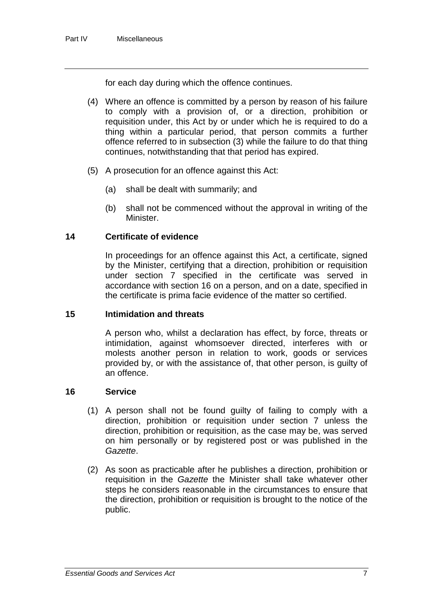for each day during which the offence continues.

- (4) Where an offence is committed by a person by reason of his failure to comply with a provision of, or a direction, prohibition or requisition under, this Act by or under which he is required to do a thing within a particular period, that person commits a further offence referred to in subsection (3) while the failure to do that thing continues, notwithstanding that that period has expired.
- (5) A prosecution for an offence against this Act:
	- (a) shall be dealt with summarily; and
	- (b) shall not be commenced without the approval in writing of the Minister.

### **14 Certificate of evidence**

In proceedings for an offence against this Act, a certificate, signed by the Minister, certifying that a direction, prohibition or requisition under section 7 specified in the certificate was served in accordance with section 16 on a person, and on a date, specified in the certificate is prima facie evidence of the matter so certified.

### **15 Intimidation and threats**

A person who, whilst a declaration has effect, by force, threats or intimidation, against whomsoever directed, interferes with or molests another person in relation to work, goods or services provided by, or with the assistance of, that other person, is guilty of an offence.

### **16 Service**

- (1) A person shall not be found guilty of failing to comply with a direction, prohibition or requisition under section 7 unless the direction, prohibition or requisition, as the case may be, was served on him personally or by registered post or was published in the *Gazette*.
- (2) As soon as practicable after he publishes a direction, prohibition or requisition in the *Gazette* the Minister shall take whatever other steps he considers reasonable in the circumstances to ensure that the direction, prohibition or requisition is brought to the notice of the public.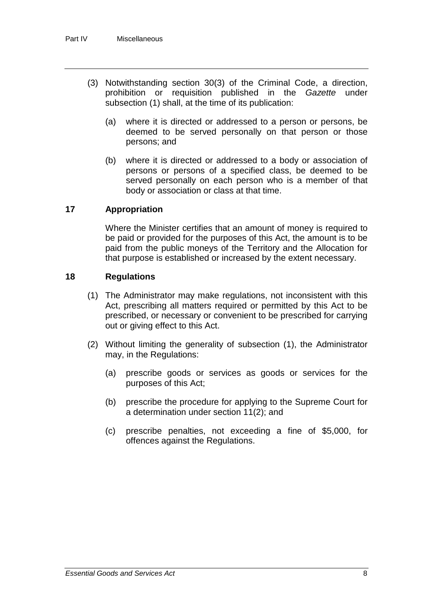- (3) Notwithstanding section 30(3) of the Criminal Code, a direction, prohibition or requisition published in the *Gazette* under subsection (1) shall, at the time of its publication:
	- (a) where it is directed or addressed to a person or persons, be deemed to be served personally on that person or those persons; and
	- (b) where it is directed or addressed to a body or association of persons or persons of a specified class, be deemed to be served personally on each person who is a member of that body or association or class at that time.

### **17 Appropriation**

Where the Minister certifies that an amount of money is required to be paid or provided for the purposes of this Act, the amount is to be paid from the public moneys of the Territory and the Allocation for that purpose is established or increased by the extent necessary.

### **18 Regulations**

- (1) The Administrator may make regulations, not inconsistent with this Act, prescribing all matters required or permitted by this Act to be prescribed, or necessary or convenient to be prescribed for carrying out or giving effect to this Act.
- (2) Without limiting the generality of subsection (1), the Administrator may, in the Regulations:
	- (a) prescribe goods or services as goods or services for the purposes of this Act;
	- (b) prescribe the procedure for applying to the Supreme Court for a determination under section 11(2); and
	- (c) prescribe penalties, not exceeding a fine of \$5,000, for offences against the Regulations.